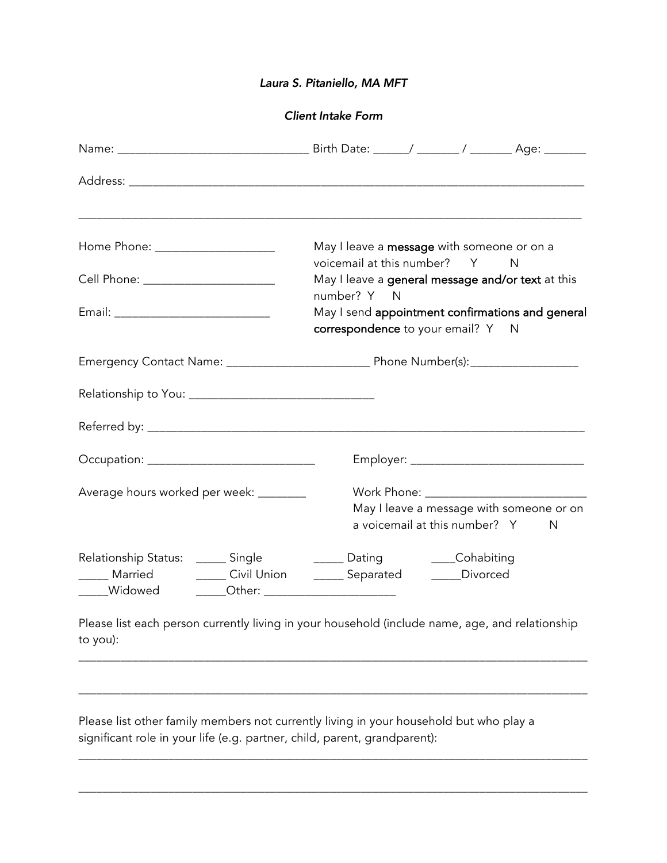## *Laura S. Pitaniello, MA MFT*

*Client Intake Form*

|                                                                                                                                                                                                          | May I leave a message with someone or on a<br>voicemail at this number? Y N                          |  |  |
|----------------------------------------------------------------------------------------------------------------------------------------------------------------------------------------------------------|------------------------------------------------------------------------------------------------------|--|--|
| Cell Phone: ________________________                                                                                                                                                                     | May I leave a general message and/or text at this                                                    |  |  |
|                                                                                                                                                                                                          | number? Y N<br>May I send appointment confirmations and general<br>correspondence to your email? Y N |  |  |
|                                                                                                                                                                                                          |                                                                                                      |  |  |
|                                                                                                                                                                                                          |                                                                                                      |  |  |
|                                                                                                                                                                                                          |                                                                                                      |  |  |
|                                                                                                                                                                                                          |                                                                                                      |  |  |
| Average hours worked per week: _______                                                                                                                                                                   | May I leave a message with someone or on<br>a voicemail at this number? Y<br>N                       |  |  |
| Relationship Status: ______ Single ___________ Dating ________Cohabiting<br>_____ Married ________ Civil Union _______ Separated _______ Divorced<br>_____Widowed _______Other: ________________________ |                                                                                                      |  |  |
|                                                                                                                                                                                                          | Please list each person currently living in your household (include name, age, and relationship      |  |  |

to you):

\_\_\_\_\_\_\_\_\_\_\_\_\_\_\_\_\_\_\_\_\_\_\_\_\_\_\_\_\_\_\_\_\_\_\_\_\_\_\_\_\_\_\_\_\_\_\_\_\_\_\_\_\_\_\_\_\_\_\_\_\_\_\_\_\_\_\_\_\_\_\_\_\_\_\_\_\_\_\_\_\_\_\_\_\_

\_\_\_\_\_\_\_\_\_\_\_\_\_\_\_\_\_\_\_\_\_\_\_\_\_\_\_\_\_\_\_\_\_\_\_\_\_\_\_\_\_\_\_\_\_\_\_\_\_\_\_\_\_\_\_\_\_\_\_\_\_\_\_\_\_\_\_\_\_\_\_\_\_\_\_\_\_\_\_\_\_\_\_\_\_

\_\_\_\_\_\_\_\_\_\_\_\_\_\_\_\_\_\_\_\_\_\_\_\_\_\_\_\_\_\_\_\_\_\_\_\_\_\_\_\_\_\_\_\_\_\_\_\_\_\_\_\_\_\_\_\_\_\_\_\_\_\_\_\_\_\_\_\_\_\_\_\_\_\_\_\_\_\_\_\_\_\_\_\_\_

\_\_\_\_\_\_\_\_\_\_\_\_\_\_\_\_\_\_\_\_\_\_\_\_\_\_\_\_\_\_\_\_\_\_\_\_\_\_\_\_\_\_\_\_\_\_\_\_\_\_\_\_\_\_\_\_\_\_\_\_\_\_\_\_\_\_\_\_\_\_\_\_\_\_\_\_\_\_\_\_\_\_\_\_\_

Please list other family members not currently living in your household but who play a significant role in your life (e.g. partner, child, parent, grandparent):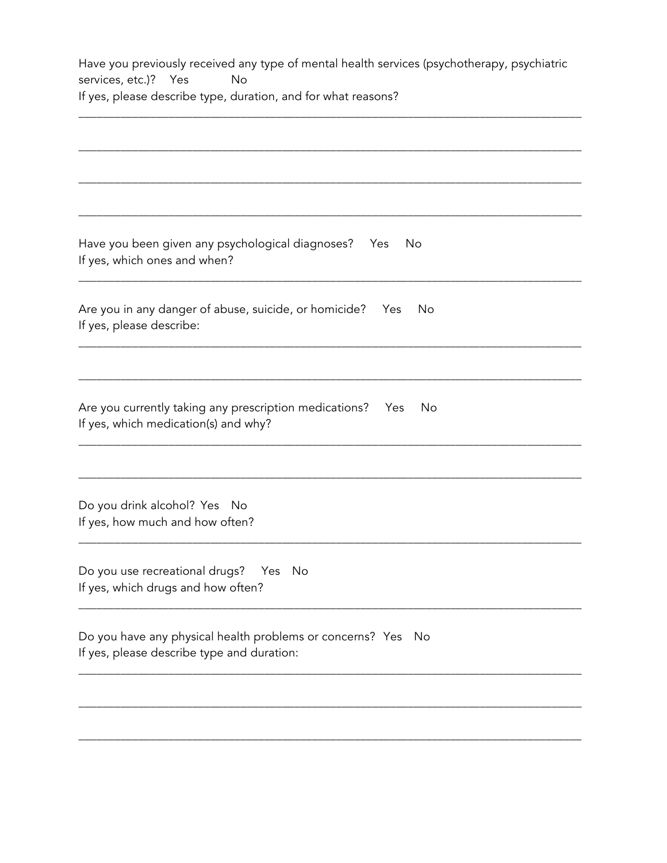Have you previously received any type of mental health services (psychotherapy, psychiatric services, etc.)? Yes No If yes, please describe type, duration, and for what reasons?

\_\_\_\_\_\_\_\_\_\_\_\_\_\_\_\_\_\_\_\_\_\_\_\_\_\_\_\_\_\_\_\_\_\_\_\_\_\_\_\_\_\_\_\_\_\_\_\_\_\_\_\_\_\_\_\_\_\_\_\_\_\_\_\_\_\_\_\_\_\_\_\_\_\_\_\_\_\_\_\_\_\_\_\_

| No<br>If yes, which ones and when?<br>No<br>No<br>If yes, how much and how often?<br>If yes, please describe type and duration: |                                                                                                     |
|---------------------------------------------------------------------------------------------------------------------------------|-----------------------------------------------------------------------------------------------------|
|                                                                                                                                 |                                                                                                     |
|                                                                                                                                 |                                                                                                     |
|                                                                                                                                 | Have you been given any psychological diagnoses? Yes                                                |
|                                                                                                                                 | Are you in any danger of abuse, suicide, or homicide? Yes<br>If yes, please describe:               |
|                                                                                                                                 |                                                                                                     |
|                                                                                                                                 | Are you currently taking any prescription medications?  Yes<br>If yes, which medication(s) and why? |
|                                                                                                                                 |                                                                                                     |
|                                                                                                                                 | Do you drink alcohol? Yes No                                                                        |
|                                                                                                                                 | Do you use recreational drugs? Yes No<br>If yes, which drugs and how often?                         |
|                                                                                                                                 | Do you have any physical health problems or concerns? Yes No                                        |
|                                                                                                                                 |                                                                                                     |

\_\_\_\_\_\_\_\_\_\_\_\_\_\_\_\_\_\_\_\_\_\_\_\_\_\_\_\_\_\_\_\_\_\_\_\_\_\_\_\_\_\_\_\_\_\_\_\_\_\_\_\_\_\_\_\_\_\_\_\_\_\_\_\_\_\_\_\_\_\_\_\_\_\_\_\_\_\_\_\_\_\_\_\_